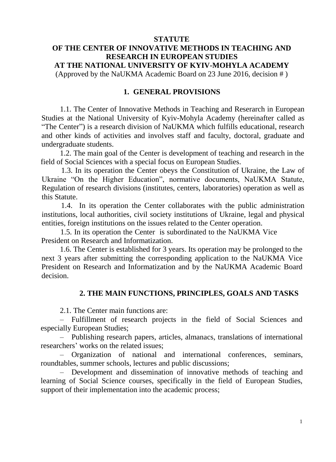#### **STATUTE**

# **OF THE CENTER OF INNOVATIVE METHODS IN TEACHING AND RESEARCH IN EUROPEAN STUDIES AT THE NATIONAL UNIVERSITY OF KYIV-MOHYLA ACADEMY** (Approved by the NaUKMA Academic Board on 23 June 2016, decision # )

#### **1. GENERAL PROVISIONS**

1.1. The Center of Innovative Methods in Teaching and Reserarch in European Studies at the National University of Kyiv-Mohyla Academy (hereinafter called as "The Center") is a research division of NaUKMA which fulfills educational, research and other kinds of activities and involves staff and faculty, doctoral, graduate and undergraduate students.

1.2. The main goal of the Center is development of teaching and research in the field of Social Sciences with a special focus on European Studies.

1.3. In its operation the Center obeys the Constitution of Ukraine, the Law of Ukraine "On the Higher Education", normative documents, NaUKMA Statute, Regulation of research divisions (institutes, centers, laboratories) operation as well as this Statute.

1.4. In its operation the Center collaborates with the public administration institutions, local authorities, civil society institutions of Ukraine, legal and physical entities, foreign institutions on the issues related to the Center operation.

1.5. In its operation the Center is subordinated to the NaUKMA Vice President on Research and Informatization.

1.6. The Center is established for 3 years. Its operation may be prolonged to the next 3 years after submitting the corresponding application to the NaUKMA Vice President on Research and Informatization and by the NaUKMA Academic Board decision.

## **2. THE MAIN FUNCTIONS, PRINCIPLES, GOALS AND TASKS**

2.1. The Center main functions are:

– Fulfillment of research projects in the field of Social Sciences and especially European Studies;

– Publishing research papers, articles, almanacs, translations of international researchers' works on the related issues;

– Organization of national and international conferences, seminars, roundtables, summer schools, lectures and public discussions;

– Development and dissemination of innovative methods of teaching and learning of Social Science courses, specifically in the field of European Studies, support of their implementation into the academic process;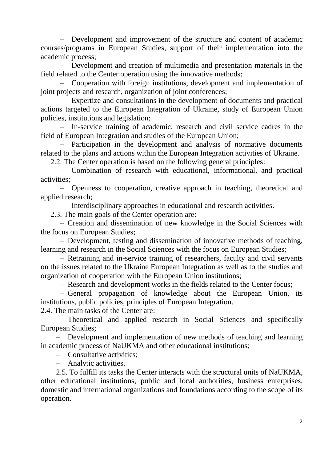– Development and improvement of the structure and content of academic courses/programs in European Studies, support of their implementation into the academic process;

– Development and creation of multimedia and presentation materials in the field related to the Center operation using the innovative methods;

– Cooperation with foreign institutions, development and implementation of joint projects and research, organization of joint conferences;

– Expertize and consultations in the development of documents and practical actions targeted to the European Integration of Ukraine, study of European Union policies, institutions and legislation;

– In-service training of academic, research and civil service cadres in the field of European Integration and studies of the European Union;

– Participation in the development and analysis of normative documents related to the plans and actions within the European Integration activities of Ukraine.

2.2. The Center operation is based on the following general principles:

– Combination of research with educational, informational, and practical activities;

– Openness to cooperation, creative approach in teaching, theoretical and applied research;

– Interdisciplinary approaches in educational and research activities.

2.3. The main goals of the Center operation are:

– Creation and dissemination of new knowledge in the Social Sciences with the focus on European Studies;

– Development, testing and dissemination of innovative methods of teaching, learning and research in the Social Sciences with the focus on European Studies;

– Retraining and in-service training of researchers, faculty and civil servants on the issues related to the Ukraine European Integration as well as to the studies and organization of cooperation with the European Union institutions;

– Research and development works in the fields related to the Center focus;

– General propagation of knowledge about the European Union, its institutions, public policies, principles of European Integration.

2.4. The main tasks of the Center are:

– Theoretical and applied research in Social Sciences and specifically European Studies;

– Development and implementation of new methods of teaching and learning in academic process of NaUKMA and other educational institutions;

– Consultative activities;

– Analytic activities.

2.5. To fulfill its tasks the Center interacts with the structural units of NaUKMA, other educational institutions, public and local authorities, business enterprises, domestic and international organizations and foundations according to the scope of its operation.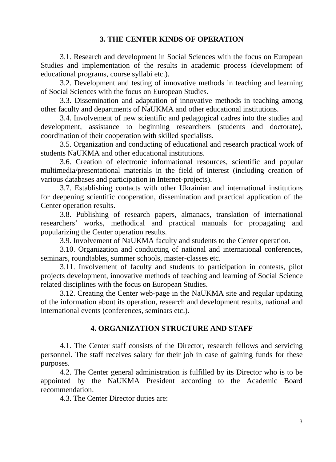## **3. THE CENTER KINDS OF OPERATION**

3.1. Research and development in Social Sciences with the focus on European Studies and implementation of the results in academic process (development of educational programs, course syllabi etc.).

3.2. Development and testing of innovative methods in teaching and learning of Social Sciences with the focus on European Studies.

3.3. Dissemination and adaptation of innovative methods in teaching among other faculty and departments of NaUKMA and other educational institutions.

3.4. Involvement of new scientific and pedagogical cadres into the studies and development, assistance to beginning researchers (students and doctorate), coordination of their cooperation with skilled specialists.

3.5. Organization and conducting of educational and research practical work of students NaUKMA and other educational institutions.

3.6. Creation of electronic informational resources, scientific and popular multimedia/presentational materials in the field of interest (including creation of various databases and participation in Internet-projects).

3.7. Establishing contacts with other Ukrainian and international institutions for deepening scientific cooperation, dissemination and practical application of the Center operation results.

3.8. Publishing of research papers, almanacs, translation of international researchers' works, methodical and practical manuals for propagating and popularizing the Center operation results.

3.9. Involvement of NaUKMA faculty and students to the Center operation.

3.10. Organization and conducting of national and international conferences, seminars, roundtables, summer schools, master-classes etc.

3.11. Involvement of faculty and students to participation in contests, pilot projects development, innovative methods of teaching and learning of Social Science related disciplines with the focus on European Studies.

3.12. Creating the Center web-page in the NaUKMA site and regular updating of the information about its operation, research and development results, national and international events (conferences, seminars etc.).

## **4. ORGANIZATION STRUCTURE AND STAFF**

4.1. The Center staff consists of the Director, research fellows and servicing personnel. The staff receives salary for their job in case of gaining funds for these purposes.

4.2. The Center general administration is fulfilled by its Director who is to be appointed by the NaUKMA President according to the Academic Board recommendation.

4.3. The Center Director duties are: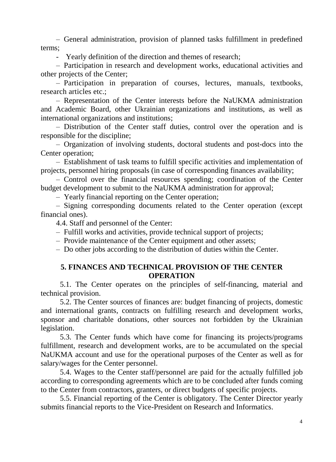– General administration, provision of planned tasks fulfillment in predefined terms;

- Yearly definition of the direction and themes of research;

– Participation in research and development works, educational activities and other projects of the Center;

– Participation in preparation of courses, lectures, manuals, textbooks, research articles etc.;

– Representation of the Center interests before the NaUKMA administration and Academic Board, other Ukrainian organizations and institutions, as well as international organizations and institutions;

– Distribution of the Center staff duties, control over the operation and is responsible for the discipline;

– Organization of involving students, doctoral students and post-docs into the Center operation;

– Establishment of task teams to fulfill specific activities and implementation of projects, personnel hiring proposals (in case of corresponding finances availability;

– Control over the financial resources spending; coordination of the Center budget development to submit to the NaUKMA administration for approval;

– Yearly financial reporting on the Center operation;

– Signing corresponding documents related to the Center operation (except financial ones).

4.4. Staff and personnel of the Center:

– Fulfill works and activities, provide technical support of projects;

– Provide maintenance of the Center equipment and other assets;

– Do other jobs according to the distribution of duties within the Center.

#### **5. FINANCES AND TECHNICAL PROVISION OF THE CENTER OPERATION**

5.1. The Center operates on the principles of self-financing, material and technical provision.

5.2. The Center sources of finances are: budget financing of projects, domestic and international grants, contracts on fulfilling research and development works, sponsor and charitable donations, other sources not forbidden by the Ukrainian legislation.

5.3. The Center funds which have come for financing its projects/programs fulfillment, research and development works, are to be accumulated on the special NaUKMA account and use for the operational purposes of the Center as well as for salary/wages for the Center personnel.

5.4. Wages to the Center staff/personnel are paid for the actually fulfilled job according to corresponding agreements which are to be concluded after funds coming to the Center from contractors, granters, or direct budgets of specific projects.

5.5. Financial reporting of the Center is obligatory. The Center Director yearly submits financial reports to the Vice-President on Research and Informatics.